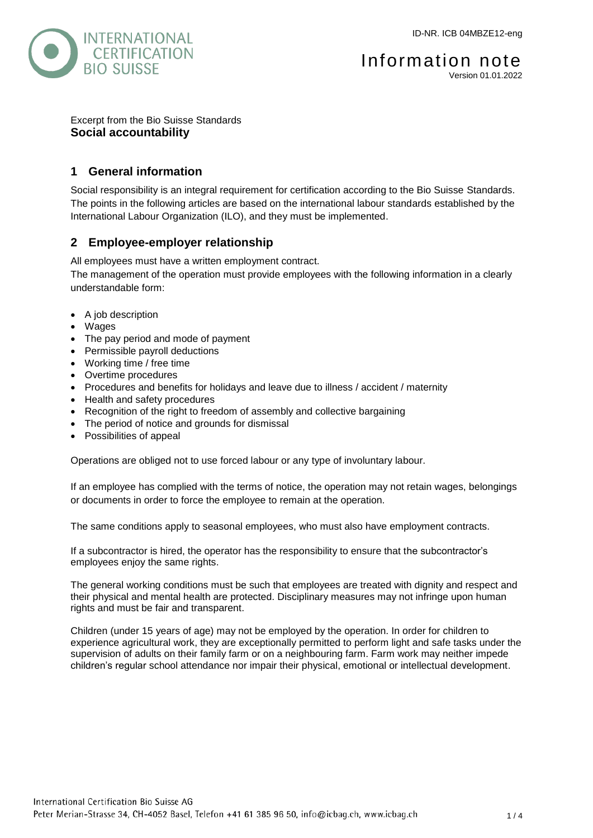

# Information note Version 01.01.2022

Excerpt from the Bio Suisse Standards **Social accountability**

# **1 General information**

Social responsibility is an integral requirement for certification according to the Bio Suisse Standards. The points in the following articles are based on the international labour standards established by the International Labour Organization (ILO), and they must be implemented.

# **2 Employee-employer relationship**

All employees must have a written employment contract.

The management of the operation must provide employees with the following information in a clearly understandable form:

- A job description
- Wages
- The pay period and mode of payment
- Permissible payroll deductions
- Working time / free time
- Overtime procedures
- Procedures and benefits for holidays and leave due to illness / accident / maternity
- Health and safety procedures
- Recognition of the right to freedom of assembly and collective bargaining
- The period of notice and grounds for dismissal
- Possibilities of appeal

Operations are obliged not to use forced labour or any type of involuntary labour.

If an employee has complied with the terms of notice, the operation may not retain wages, belongings or documents in order to force the employee to remain at the operation.

The same conditions apply to seasonal employees, who must also have employment contracts.

If a subcontractor is hired, the operator has the responsibility to ensure that the subcontractor's employees enjoy the same rights.

The general working conditions must be such that employees are treated with dignity and respect and their physical and mental health are protected. Disciplinary measures may not infringe upon human rights and must be fair and transparent.

Children (under 15 years of age) may not be employed by the operation. In order for children to experience agricultural work, they are exceptionally permitted to perform light and safe tasks under the supervision of adults on their family farm or on a neighbouring farm. Farm work may neither impede children's regular school attendance nor impair their physical, emotional or intellectual development.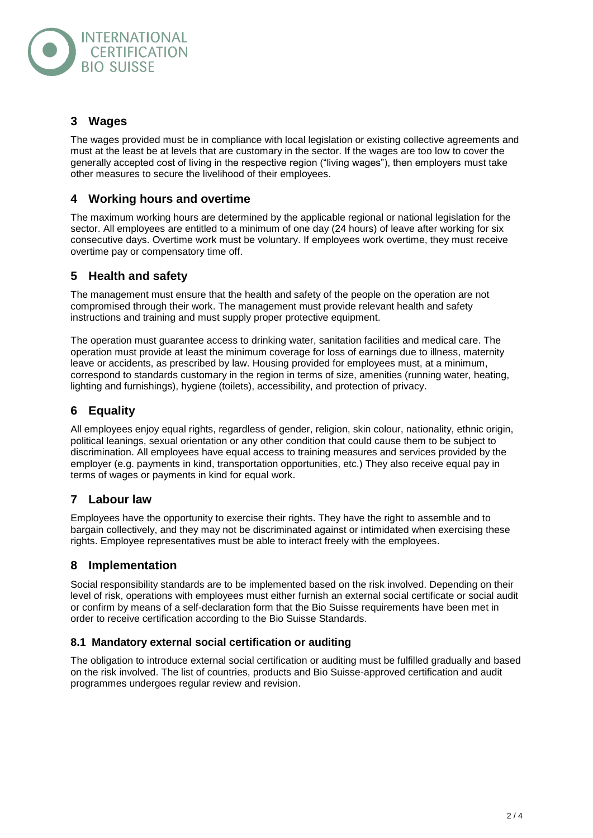

## **3 Wages**

The wages provided must be in compliance with local legislation or existing collective agreements and must at the least be at levels that are customary in the sector. If the wages are too low to cover the generally accepted cost of living in the respective region ("living wages"), then employers must take other measures to secure the livelihood of their employees.

## **4 Working hours and overtime**

The maximum working hours are determined by the applicable regional or national legislation for the sector. All employees are entitled to a minimum of one day (24 hours) of leave after working for six consecutive days. Overtime work must be voluntary. If employees work overtime, they must receive overtime pay or compensatory time off.

## **5 Health and safety**

The management must ensure that the health and safety of the people on the operation are not compromised through their work. The management must provide relevant health and safety instructions and training and must supply proper protective equipment.

The operation must guarantee access to drinking water, sanitation facilities and medical care. The operation must provide at least the minimum coverage for loss of earnings due to illness, maternity leave or accidents, as prescribed by law. Housing provided for employees must, at a minimum, correspond to standards customary in the region in terms of size, amenities (running water, heating, lighting and furnishings), hygiene (toilets), accessibility, and protection of privacy.

# **6 Equality**

All employees enjoy equal rights, regardless of gender, religion, skin colour, nationality, ethnic origin, political leanings, sexual orientation or any other condition that could cause them to be subject to discrimination. All employees have equal access to training measures and services provided by the employer (e.g. payments in kind, transportation opportunities, etc.) They also receive equal pay in terms of wages or payments in kind for equal work.

## **7 Labour law**

Employees have the opportunity to exercise their rights. They have the right to assemble and to bargain collectively, and they may not be discriminated against or intimidated when exercising these rights. Employee representatives must be able to interact freely with the employees.

### **8 Implementation**

Social responsibility standards are to be implemented based on the risk involved. Depending on their level of risk, operations with employees must either furnish an external social certificate or social audit or confirm by means of a self-declaration form that the Bio Suisse requirements have been met in order to receive certification according to the Bio Suisse Standards.

#### **8.1 Mandatory external social certification or auditing**

The obligation to introduce external social certification or auditing must be fulfilled gradually and based on the risk involved. The list of countries, products and Bio Suisse-approved certification and audit programmes undergoes regular review and revision.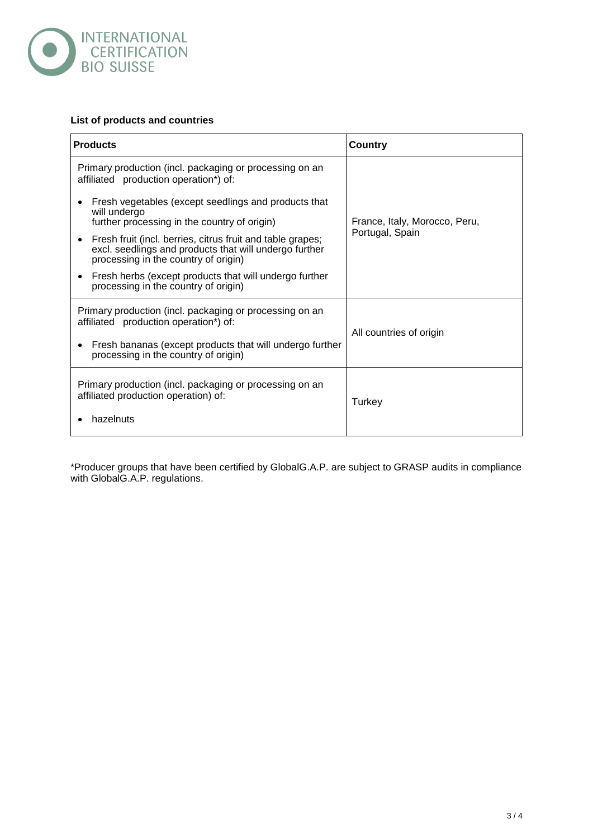

### **List of products and countries**

| <b>Products</b>                                                                                                                                              | <b>Country</b>                |  |
|--------------------------------------------------------------------------------------------------------------------------------------------------------------|-------------------------------|--|
| Primary production (incl. packaging or processing on an<br>affiliated production operation*) of:                                                             |                               |  |
| Fresh vegetables (except seedlings and products that<br>will undergo<br>further processing in the country of origin)                                         | France, Italy, Morocco, Peru, |  |
| Fresh fruit (incl. berries, citrus fruit and table grapes;<br>excl. seedlings and products that will undergo further<br>processing in the country of origin) | Portugal, Spain               |  |
| Fresh herbs (except products that will undergo further<br>$\bullet$<br>processing in the country of origin)                                                  |                               |  |
| Primary production (incl. packaging or processing on an<br>affiliated production operation*) of:                                                             | All countries of origin       |  |
| Fresh bananas (except products that will undergo further<br>٠<br>processing in the country of origin)                                                        |                               |  |
| Primary production (incl. packaging or processing on an<br>affiliated production operation) of:                                                              | Turkey                        |  |
| hazelnuts                                                                                                                                                    |                               |  |

\*Producer groups that have been certified by GlobalG.A.P. are subject to GRASP audits in compliance with GlobalG.A.P. regulations.